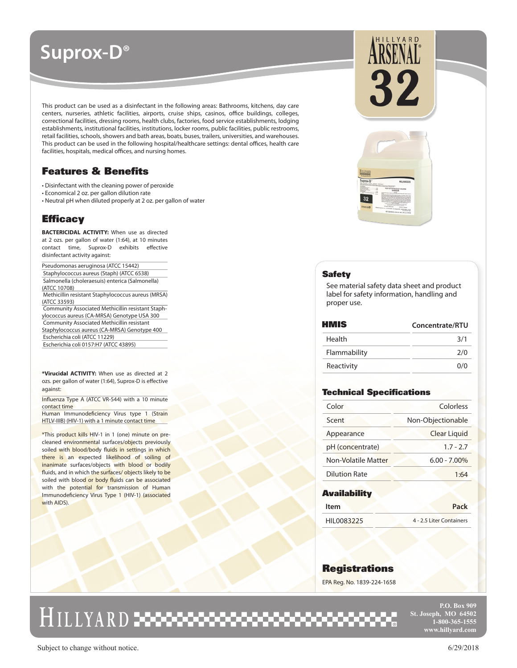# **Suprox-D®**

This product can be used as a disinfectant in the following areas: Bathrooms, kitchens, day care centers, nurseries, athletic facilities, airports, cruise ships, casinos, office buildings, colleges, correctional facilities, dressing rooms, health clubs, factories, food service establishments, lodging establishments, institutional facilities, institutions, locker rooms, public facilities, public restrooms, retail facilities, schools, showers and bath areas, boats, buses, trailers, universities, and warehouses. This product can be used in the following hospital/healthcare settings: dental offices, health care facilities, hospitals, medical offices, and nursing homes.

# Features & Benefits

• Disinfectant with the cleaning power of peroxide

- Economical 2 oz. per gallon dilution rate
- Neutral pH when diluted properly at 2 oz. per gallon of water

# **Efficacy**

**BACTERICIDAL ACTIVITY:** When use as directed at 2 ozs. per gallon of water (1:64), at 10 minutes contact time, Suprox-D exhibits effective disinfectant activity against:

\_<br>Pseudomonas aeruginosa (ATCC 15442) Staphylococcus aureus (Staph) (ATCC 6538) Salmonella (choleraesuis) enterica (Salmonella) (ATCC 10708)

 Methicillin resistant Staphylococcus aureus (MRSA) (ATCC 33593)

 Community Associated Methicillin resistant Staphylococcus aureus (CA-MRSA) Genotype USA 300 Community Associated Methicillin resistant Staphylococcus aureus (CA-MRSA) Genotype 400 Escherichia coli (ATCC 11229)

Escherichia coli 0157:H7 (ATCC 43895)

**\*Virucidal ACTIVITY:** When use as directed at 2 ozs. per gallon of water (1:64), Suprox-D is effective against:

Influenza Type A (ATCC VR-544) with a 10 minute contact time

Human Immunodeficiency Virus type 1 (Strain HTLV-IIIB) (HIV-1) with a 1 minute contact time

\*This product kills HIV-1 in 1 (one) minute on precleaned environmental surfaces/objects previously soiled with blood/body fluids in settings in which there is an expected likelihood of soiling of inanimate surfaces/objects with blood or bodily fluids, and in which the surfaces/ objects likely to be soiled with blood or body fluids can be associated with the potential for transmission of Human Immunodeficiency Virus Type 1 (HIV-1) (associated with AIDS).





### **Safety**

See material safety data sheet and product label for safety information, handling and proper use.

| HMIS         | Concentrate/RTU |
|--------------|-----------------|
| Health       | 3/1             |
| Flammability | 2/0             |
| Reactivity   | 0/0             |

## Technical Specifications

| Color                | Colorless           |
|----------------------|---------------------|
| Scent                | Non-Objectionable   |
| Appearance           | <b>Clear Liquid</b> |
| pH (concentrate)     | $1.7 - 2.7$         |
| Non-Volatile Matter  | $6.00 - 7.00\%$     |
| <b>Dilution Rate</b> | 1:64                |

### **Availability**

| ltem        | Pack                     |
|-------------|--------------------------|
| HII 0083225 | 4 - 2.5 Liter Containers |

## **Registrations**

EPA Reg. No. 1839-224-1658

# <u>HILLYARD : 3000000000000000000000000000</u>

**P.O. Box 909 St. Joseph, MO 64502 1-800-365-1555 www.hillyard.com**